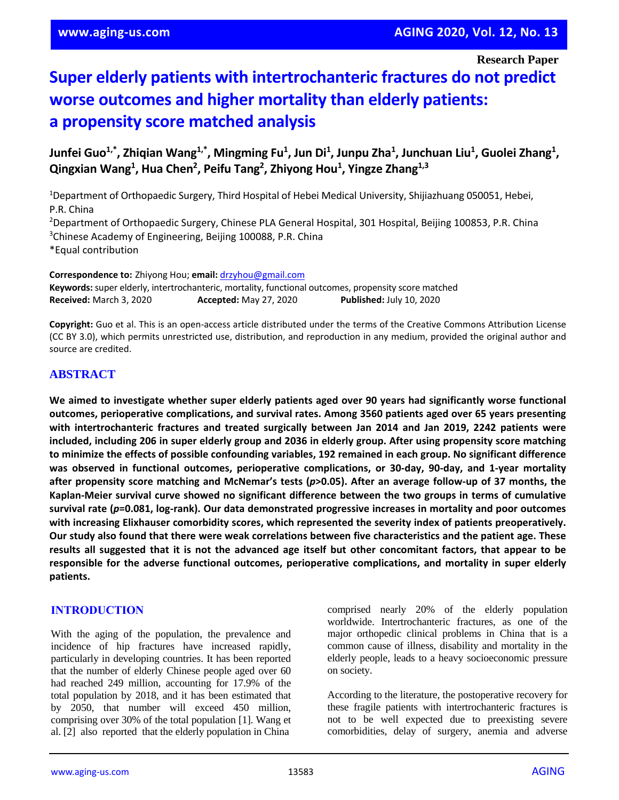**Research Paper**

# **Super elderly patients with intertrochanteric fractures do not predict worse outcomes and higher mortality than elderly patients: a propensity score matched analysis**

**Junfei Guo1,\*, Zhiqian Wang1,\*, Mingming Fu<sup>1</sup> , Jun Di<sup>1</sup> , Junpu Zha<sup>1</sup> , Junchuan Liu<sup>1</sup> , Guolei Zhang<sup>1</sup> , Qingxian Wang<sup>1</sup> , Hua Chen<sup>2</sup> , Peifu Tang<sup>2</sup> , Zhiyong Hou<sup>1</sup> , Yingze Zhang1,3**

<sup>1</sup>Department of Orthopaedic Surgery, Third Hospital of Hebei Medical University, Shijiazhuang 050051, Hebei, P.R. China <sup>2</sup>Department of Orthopaedic Surgery, Chinese PLA General Hospital, 301 Hospital, Beijing 100853, P.R. China <sup>3</sup>Chinese Academy of Engineering, Beijing 100088, P.R. China

\*Equal contribution

**Correspondence to:** Zhiyong Hou; **email:** [drzyhou@gmail.com](mailto:drzyhou@gmail.com) **Keywords:** super elderly, intertrochanteric, mortality, functional outcomes, propensity score matched **Received:** March 3, 2020 **Accepted:** May 27, 2020 **Published:** July 10, 2020

**Copyright:** Guo et al. This is an open-access article distributed under the terms of the Creative Commons Attribution License (CC BY 3.0), which permits unrestricted use, distribution, and reproduction in any medium, provided the original author and source are credited.

# **ABSTRACT**

**We aimed to investigate whether super elderly patients aged over 90 years had significantly worse functional outcomes, perioperative complications, and survival rates. Among 3560 patients aged over 65 years presenting with intertrochanteric fractures and treated surgically between Jan 2014 and Jan 2019, 2242 patients were** included, including 206 in super elderly group and 2036 in elderly group. After using propensity score matching **to minimize the effects of possible confounding variables, 192 remained in each group. No significant difference was observed in functional outcomes, perioperative complications, or 30-day, 90-day, and 1-year mortality** after propensity score matching and McNemar's tests (p>0.05). After an average follow-up of 37 months, the **Kaplan-Meier survival curve showed no significant difference between the two groups in terms of cumulative survival rate (***p***=0.081, log-rank). Our data demonstrated progressive increases in mortality and poor outcomes with increasing Elixhauser comorbidity scores, which represented the severity index of patients preoperatively.** Our study also found that there were weak correlations between five characteristics and the patient age. These results all suggested that it is not the advanced age itself but other concomitant factors, that appear to be **responsible for the adverse functional outcomes, perioperative complications, and mortality in super elderly patients.**

## **INTRODUCTION**

With the aging of the population, the prevalence and incidence of hip fractures have increased rapidly, particularly in developing countries. It has been reported that the number of elderly Chinese people aged over 60 had reached 249 million, accounting for 17.9% of the total population by 2018, and it has been estimated that by 2050, that number will exceed 450 million, comprising over 30% of the total population [1]. Wang et al. [2] also reported that the elderly population in China

comprised nearly 20% of the elderly population worldwide. Intertrochanteric fractures, as one of the major orthopedic clinical problems in China that is a common cause of illness, disability and mortality in the elderly people, leads to a heavy socioeconomic pressure on society.

According to the literature, the postoperative recovery for these fragile patients with intertrochanteric fractures is not to be well expected due to preexisting severe comorbidities, delay of surgery, anemia and adverse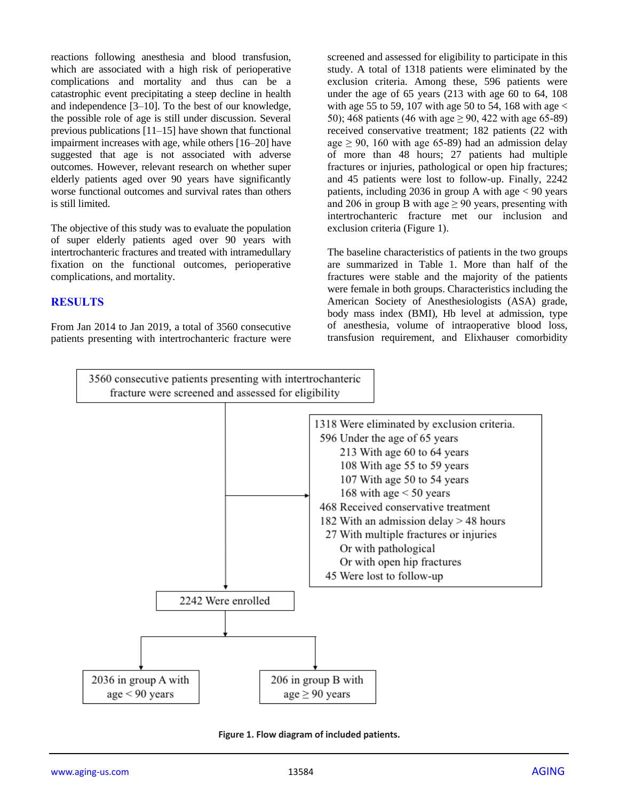reactions following anesthesia and blood transfusion, which are associated with a high risk of perioperative complications and mortality and thus can be a catastrophic event precipitating a steep decline in health and independence [3–10]. To the best of our knowledge, the possible role of age is still under discussion. Several previous publications [11–15] have shown that functional impairment increases with age, while others [16–20] have suggested that age is not associated with adverse outcomes. However, relevant research on whether super elderly patients aged over 90 years have significantly worse functional outcomes and survival rates than others is still limited.

The objective of this study was to evaluate the population of super elderly patients aged over 90 years with intertrochanteric fractures and treated with intramedullary fixation on the functional outcomes, perioperative complications, and mortality.

## **RESULTS**

From Jan 2014 to Jan 2019, a total of 3560 consecutive patients presenting with intertrochanteric fracture were

screened and assessed for eligibility to participate in this study. A total of 1318 patients were eliminated by the exclusion criteria. Among these, 596 patients were under the age of 65 years (213 with age 60 to 64, 108 with age 55 to 59, 107 with age 50 to 54, 168 with age  $\lt$ 50); 468 patients (46 with age  $\geq$  90, 422 with age 65-89) received conservative treatment; 182 patients (22 with age  $\geq$  90, 160 with age 65-89) had an admission delay of more than 48 hours; 27 patients had multiple fractures or injuries, pathological or open hip fractures; and 45 patients were lost to follow-up. Finally, 2242 patients, including 2036 in group A with age  $< 90$  years and 206 in group B with age  $\geq$  90 years, presenting with intertrochanteric fracture met our inclusion and exclusion criteria (Figure 1).

The baseline characteristics of patients in the two groups are summarized in Table 1. More than half of the fractures were stable and the majority of the patients were female in both groups. Characteristics including the American Society of Anesthesiologists (ASA) grade, body mass index (BMI), Hb level at admission, type of anesthesia, volume of intraoperative blood loss, transfusion requirement, and Elixhauser comorbidity



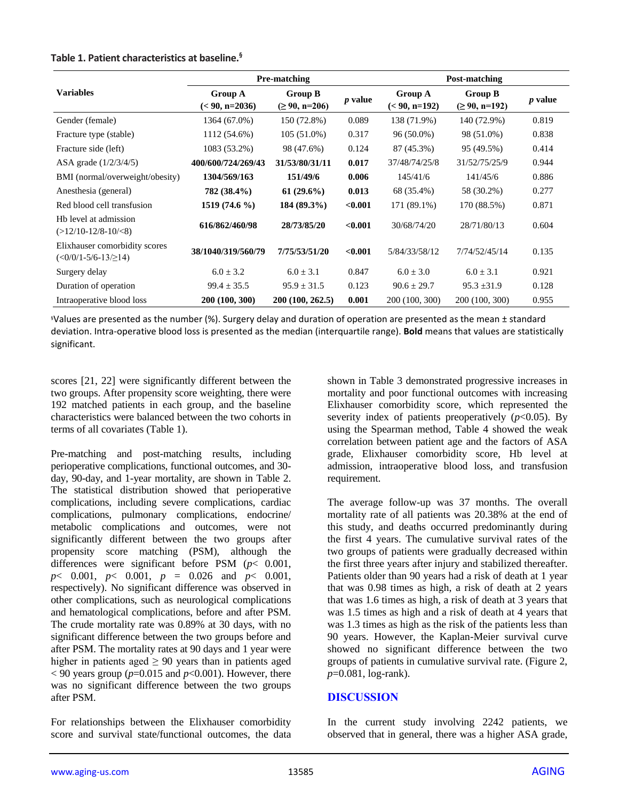## **Table 1. Patient characteristics at baseline.§**

|                                                        |                                    | Pre-matching                     |                | Post-matching   |                                       |                |  |
|--------------------------------------------------------|------------------------------------|----------------------------------|----------------|-----------------|---------------------------------------|----------------|--|
| <b>Variables</b>                                       | <b>Group A</b><br>$(< 90, n=2036)$ | Group B<br>$( \geq 90, n = 206)$ | <i>p</i> value |                 | <b>Group B</b><br>$( \geq 90, n=192)$ | <i>p</i> value |  |
| Gender (female)                                        | 1364 (67.0%)                       | 150 (72.8%)                      | 0.089          | 138 (71.9%)     | 140 (72.9%)                           | 0.819          |  |
| Fracture type (stable)                                 | 1112 (54.6%)                       | $105(51.0\%)$                    | 0.317          | $96(50.0\%)$    | 98 (51.0%)                            | 0.838          |  |
| Fracture side (left)                                   | 1083 (53.2%)                       | 98 (47.6%)                       | 0.124          | 87 (45.3%)      | 95 (49.5%)                            | 0.414          |  |
| ASA grade $(1/2/3/4/5)$                                | 400/600/724/269/43                 | 31/53/80/31/11                   | 0.017          | 37/48/74/25/8   | 31/52/75/25/9                         | 0.944          |  |
| BMI (normal/overweight/obesity)                        | 1304/569/163                       | 151/49/6                         | 0.006          | 145/41/6        | 141/45/6                              | 0.886          |  |
| Anesthesia (general)                                   | 782 (38.4%)                        | $61(29.6\%)$                     | 0.013          | 68 (35.4%)      | 58 (30.2%)                            | 0.277          |  |
| Red blood cell transfusion                             | $1519(74.6\%)$                     | 184 (89.3%)                      | < 0.001        | 171 (89.1%)     | 170 (88.5%)                           | 0.871          |  |
| Hb level at admission<br>$(>12/10-12/8-10/3)$          | 616/862/460/98                     | 28/73/85/20                      | < 0.001        | 30/68/74/20     | 28/71/80/13                           | 0.604          |  |
| Elixhauser comorbidity scores<br>$(<0/0/1-5/6-13/214)$ | 38/1040/319/560/79                 | 7/75/53/51/20                    | < 0.001        | 5/84/33/58/12   | 7/74/52/45/14                         | 0.135          |  |
| Surgery delay                                          | $6.0 \pm 3.2$                      | $6.0 \pm 3.1$                    | 0.847          | $6.0 \pm 3.0$   | $6.0 \pm 3.1$                         | 0.921          |  |
| Duration of operation                                  | $99.4 \pm 35.5$                    | $95.9 \pm 31.5$                  | 0.123          | $90.6 \pm 29.7$ | $95.3 \pm 31.9$                       | 0.128          |  |
| Intraoperative blood loss                              | 200 (100, 300)                     | 200 (100, 262.5)                 | 0.001          | 200 (100, 300)  | 200 (100, 300)                        | 0.955          |  |

§Values are presented as the number (%). Surgery delay and duration of operation are presented as the mean ± standard deviation. Intra-operative blood loss is presented as the median (interquartile range). **Bold** means that values are statistically significant.

scores [21, 22] were significantly different between the two groups. After propensity score weighting, there were 192 matched patients in each group, and the baseline characteristics were balanced between the two cohorts in terms of all covariates (Table 1).

Pre-matching and post-matching results, including perioperative complications, functional outcomes, and 30 day, 90-day, and 1-year mortality, are shown in Table 2. The statistical distribution showed that perioperative complications, including severe complications, cardiac complications, pulmonary complications, endocrine/ metabolic complications and outcomes, were not significantly different between the two groups after propensity score matching (PSM), although the differences were significant before PSM (*p*< 0.001, *p*< 0.001, *p*< 0.001, *p* = 0.026 and *p*< 0.001, respectively). No significant difference was observed in other complications, such as neurological complications and hematological complications, before and after PSM. The crude mortality rate was 0.89% at 30 days, with no significant difference between the two groups before and after PSM. The mortality rates at 90 days and 1 year were higher in patients aged  $\geq 90$  years than in patients aged  $<$  90 years group ( $p$ =0.015 and  $p$ <0.001). However, there was no significant difference between the two groups after PSM.

For relationships between the Elixhauser comorbidity score and survival state/functional outcomes, the data shown in Table 3 demonstrated progressive increases in mortality and poor functional outcomes with increasing Elixhauser comorbidity score, which represented the severity index of patients preoperatively  $(p<0.05)$ . By using the Spearman method, Table 4 showed the weak correlation between patient age and the factors of ASA grade, Elixhauser comorbidity score, Hb level at admission, intraoperative blood loss, and transfusion requirement.

The average follow-up was 37 months. The overall mortality rate of all patients was 20.38% at the end of this study, and deaths occurred predominantly during the first 4 years. The cumulative survival rates of the two groups of patients were gradually decreased within the first three years after injury and stabilized thereafter. Patients older than 90 years had a risk of death at 1 year that was 0.98 times as high, a risk of death at 2 years that was 1.6 times as high, a risk of death at 3 years that was 1.5 times as high and a risk of death at 4 years that was 1.3 times as high as the risk of the patients less than 90 years. However, the Kaplan-Meier survival curve showed no significant difference between the two groups of patients in cumulative survival rate. (Figure 2, *p*=0.081, log-rank).

## **DISCUSSION**

In the current study involving 2242 patients, we observed that in general, there was a higher ASA grade,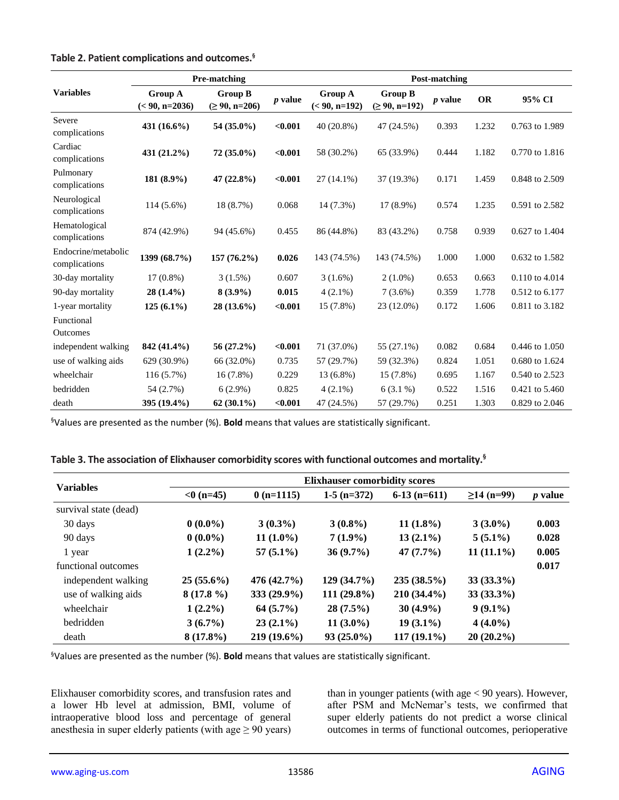|                                      |                                    | <b>Pre-matching</b>                     | <b>Post-matching</b> |                                   |                                       |           |           |                |
|--------------------------------------|------------------------------------|-----------------------------------------|----------------------|-----------------------------------|---------------------------------------|-----------|-----------|----------------|
| <b>Variables</b>                     | <b>Group A</b><br>$(< 90, n=2036)$ | <b>Group B</b><br>$( \geq 90, n = 206)$ | <i>p</i> value       | <b>Group A</b><br>$(< 90, n=192)$ | <b>Group B</b><br>$( \geq 90, n=192)$ | $p$ value | <b>OR</b> | 95% CI         |
| Severe<br>complications              | 431 (16.6%)                        | 54 (35.0%)                              | < 0.001              | 40 (20.8%)                        | 47 (24.5%)                            | 0.393     | 1.232     | 0.763 to 1.989 |
| Cardiac<br>complications             | 431 (21.2%)                        | $72(35.0\%)$                            | $0.001$              | 58 (30.2%)                        | 65 (33.9%)                            | 0.444     | 1.182     | 0.770 to 1.816 |
| Pulmonary<br>complications           | 181 (8.9%)                         | 47 $(22.8\%)$                           | $0.001$              | $27(14.1\%)$                      | 37 (19.3%)                            | 0.171     | 1.459     | 0.848 to 2.509 |
| Neurological<br>complications        | 114 (5.6%)                         | 18 (8.7%)                               | 0.068                | 14 (7.3%)                         | 17 (8.9%)                             | 0.574     | 1.235     | 0.591 to 2.582 |
| Hematological<br>complications       | 874 (42.9%)                        | 94 (45.6%)                              | 0.455                | 86 (44.8%)                        | 83 (43.2%)                            | 0.758     | 0.939     | 0.627 to 1.404 |
| Endocrine/metabolic<br>complications | 1399 (68.7%)                       | $157(76.2\%)$                           | 0.026                | 143 (74.5%)                       | 143 (74.5%)                           | 1.000     | 1.000     | 0.632 to 1.582 |
| 30-day mortality                     | $17(0.8\%)$                        | $3(1.5\%)$                              | 0.607                | $3(1.6\%)$                        | $2(1.0\%)$                            | 0.653     | 0.663     | 0.110 to 4.014 |
| 90-day mortality                     | $28(1.4\%)$                        | $8(3.9\%)$                              | 0.015                | $4(2.1\%)$                        | $7(3.6\%)$                            | 0.359     | 1.778     | 0.512 to 6.177 |
| 1-year mortality                     | $125(6.1\%)$                       | 28 (13.6%)                              | < 0.001              | 15 (7.8%)                         | 23 (12.0%)                            | 0.172     | 1.606     | 0.811 to 3.182 |
| Functional                           |                                    |                                         |                      |                                   |                                       |           |           |                |
| Outcomes                             |                                    |                                         |                      |                                   |                                       |           |           |                |
| independent walking                  | 842 (41.4%)                        | $56(27.2\%)$                            | < 0.001              | 71 (37.0%)                        | 55 (27.1%)                            | 0.082     | 0.684     | 0.446 to 1.050 |
| use of walking aids                  | 629 (30.9%)                        | 66 (32.0%)                              | 0.735                | 57 (29.7%)                        | 59 (32.3%)                            | 0.824     | 1.051     | 0.680 to 1.624 |
| wheelchair                           | $116(5.7\%)$                       | $16(7.8\%)$                             | 0.229                | 13 (6.8%)                         | 15 (7.8%)                             | 0.695     | 1.167     | 0.540 to 2.523 |
| bedridden                            | 54 (2.7%)                          | $6(2.9\%)$                              | 0.825                | $4(2.1\%)$                        | $6(3.1\%)$                            | 0.522     | 1.516     | 0.421 to 5.460 |
| death                                | 395 (19.4%)                        | $62(30.1\%)$                            | $0.001$              | 47 (24.5%)                        | 57 (29.7%)                            | 0.251     | 1.303     | 0.829 to 2.046 |

**Table 2. Patient complications and outcomes.§**

§Values are presented as the number (%). **Bold** means that values are statistically significant.

|  |  | Table 3. The association of Elixhauser comorbidity scores with functional outcomes and mortality. <sup>§</sup> |
|--|--|----------------------------------------------------------------------------------------------------------------|
|--|--|----------------------------------------------------------------------------------------------------------------|

|                       | <b>Elixhauser comorbidity scores</b> |               |               |                |              |                |  |  |  |
|-----------------------|--------------------------------------|---------------|---------------|----------------|--------------|----------------|--|--|--|
| <b>Variables</b>      | $< 0$ (n=45)                         | $0(n=1115)$   | $1-5$ (n=372) | $6-13$ (n=611) | $≥14$ (n=99) | <i>p</i> value |  |  |  |
| survival state (dead) |                                      |               |               |                |              |                |  |  |  |
| 30 days               | $0(0.0\%)$                           | $3(0.3\%)$    | $3(0.8\%)$    | $11(1.8\%)$    | $3(3.0\%)$   | 0.003          |  |  |  |
| 90 days               | $0(0.0\%)$                           | $11(1.0\%)$   | $7(1.9\%)$    | $13(2.1\%)$    | $5(5.1\%)$   | 0.028          |  |  |  |
| 1 year                | $1(2.2\%)$                           | $57(5.1\%)$   | $36(9.7\%)$   | 47(7.7%)       | $11(11.1\%)$ | 0.005          |  |  |  |
| functional outcomes   |                                      |               |               |                |              | 0.017          |  |  |  |
| independent walking   | $25(55.6\%)$                         | 476 (42.7%)   | 129(34.7%)    | $235(38.5\%)$  | $33(33.3\%)$ |                |  |  |  |
| use of walking aids   | $8(17.8\%)$                          | $333(29.9\%)$ | $111(29.8\%)$ | $210(34.4\%)$  | $33(33.3\%)$ |                |  |  |  |
| wheelchair            | $1(2.2\%)$                           | $64(5.7\%)$   | $28(7.5\%)$   | $30(4.9\%)$    | $9(9.1\%)$   |                |  |  |  |
| bedridden             | $3(6.7\%)$                           | $23(2.1\%)$   | $11(3.0\%)$   | $19(3.1\%)$    | $4(4.0\%)$   |                |  |  |  |
| death                 | $8(17.8\%)$                          | $219(19.6\%)$ | $93(25.0\%)$  | $117(19.1\%)$  | $20(20.2\%)$ |                |  |  |  |

§Values are presented as the number (%). **Bold** means that values are statistically significant.

Elixhauser comorbidity scores, and transfusion rates and a lower Hb level at admission, BMI, volume of intraoperative blood loss and percentage of general anesthesia in super elderly patients (with age  $\geq 90$  years) than in younger patients (with age < 90 years). However, after PSM and McNemar's tests, we confirmed that super elderly patients do not predict a worse clinical outcomes in terms of functional outcomes, perioperative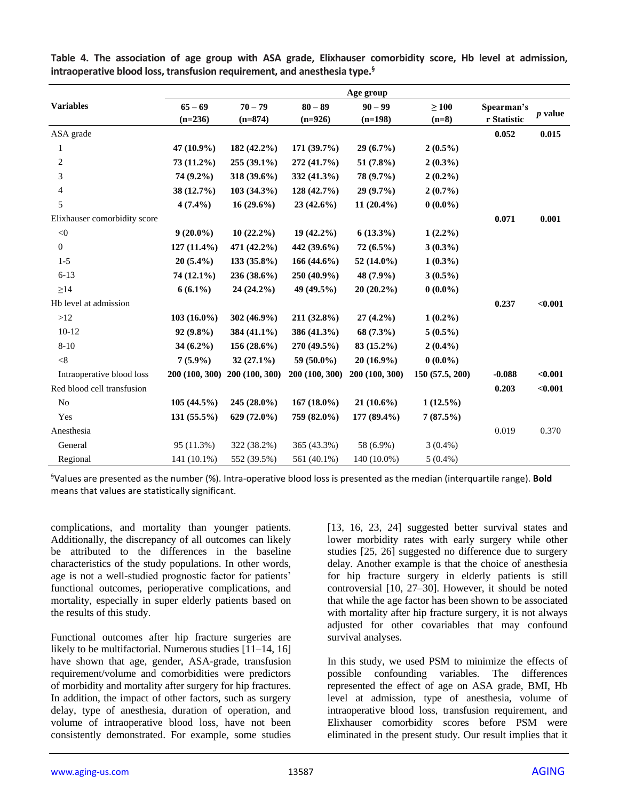|                              |                |                |                | Age group      |                |             |                |
|------------------------------|----------------|----------------|----------------|----------------|----------------|-------------|----------------|
| <b>Variables</b>             | $65 - 69$      | $70 - 79$      | $80 - 89$      | $90 - 99$      | $\geq 100$     | Spearman's  |                |
|                              | $(n=236)$      | $(n=874)$      | $(n=926)$      | $(n=198)$      | $(n=8)$        | r Statistic | <i>p</i> value |
| ASA grade                    |                |                |                |                |                | 0.052       | 0.015          |
| 1                            | 47 (10.9%)     | 182 (42.2%)    | 171 (39.7%)    | $29(6.7\%)$    | $2(0.5\%)$     |             |                |
| $\overline{2}$               | 73 (11.2%)     | 255 (39.1%)    | 272 (41.7%)    | 51 (7.8%)      | $2(0.3\%)$     |             |                |
| 3                            | 74 (9.2%)      | 318 (39.6%)    | 332 (41.3%)    | 78 (9.7%)      | $2(0.2\%)$     |             |                |
| 4                            | 38 (12.7%)     | $103(34.3\%)$  | 128(42.7%)     | $29(9.7\%)$    | $2(0.7\%)$     |             |                |
| 5                            | $4(7.4\%)$     | $16(29.6\%)$   | $23(42.6\%)$   | $11(20.4\%)$   | $0(0.0\%)$     |             |                |
| Elixhauser comorbidity score |                |                |                |                |                | 0.071       | 0.001          |
| $<\!\!0$                     | $9(20.0\%)$    | $10(22.2\%)$   | $19(42.2\%)$   | $6(13.3\%)$    | $1(2.2\%)$     |             |                |
| $\boldsymbol{0}$             | $127(11.4\%)$  | 471 (42.2%)    | 442 (39.6%)    | $72(6.5\%)$    | $3(0.3\%)$     |             |                |
| $1-5$                        | $20(5.4\%)$    | $133(35.8\%)$  | $166(44.6\%)$  | 52 (14.0%)     | $1(0.3\%)$     |             |                |
| $6 - 13$                     | 74 (12.1%)     | 236 (38.6%)    | 250 (40.9%)    | 48 (7.9%)      | $3(0.5\%)$     |             |                |
| $\geq$ 14                    | $6(6.1\%)$     | $24(24.2\%)$   | 49 (49.5%)     | $20(20.2\%)$   | $0(0.0\%)$     |             |                |
| Hb level at admission        |                |                |                |                |                | 0.237       | $0.001$        |
| $>12$                        | $103(16.0\%)$  | 302 (46.9%)    | 211 (32.8%)    | $27(4.2\%)$    | $1(0.2\%)$     |             |                |
| $10-12$                      | $92(9.8\%)$    | 384 (41.1%)    | 386 (41.3%)    | 68 (7.3%)      | $5(0.5\%)$     |             |                |
| $8 - 10$                     | $34(6.2\%)$    | $156(28.6\%)$  | 270 (49.5%)    | $83(15.2\%)$   | $2(0.4\%)$     |             |                |
| $<$ 8                        | $7(5.9\%)$     | $32(27.1\%)$   | 59 $(50.0\%)$  | $20(16.9\%)$   | $0(0.0\%)$     |             |                |
| Intraoperative blood loss    | 200 (100, 300) | 200 (100, 300) | 200 (100, 300) | 200 (100, 300) | 150(57.5, 200) | $-0.088$    | < 0.001        |
| Red blood cell transfusion   |                |                |                |                |                | 0.203       | < 0.001        |
| N <sub>o</sub>               | 105(44.5%)     | $245(28.0\%)$  | $167(18.0\%)$  | $21(10.6\%)$   | $1(12.5\%)$    |             |                |
| Yes                          | $131(55.5\%)$  | 629 (72.0%)    | 759 (82.0%)    | 177 (89.4%)    | 7(87.5%)       |             |                |
| Anesthesia                   |                |                |                |                |                | 0.019       | 0.370          |
| General                      | 95 (11.3%)     | 322 (38.2%)    | 365 (43.3%)    | 58 (6.9%)      | $3(0.4\%)$     |             |                |
| Regional                     | 141 (10.1%)    | 552 (39.5%)    | 561 (40.1%)    | 140 (10.0%)    | $5(0.4\%)$     |             |                |

**Table 4. The association of age group with ASA grade, Elixhauser comorbidity score, Hb level at admission, intraoperative blood loss, transfusion requirement, and anesthesia type.§**

§Values are presented as the number (%). Intra-operative blood loss is presented as the median (interquartile range). **Bold** means that values are statistically significant.

complications, and mortality than younger patients. Additionally, the discrepancy of all outcomes can likely be attributed to the differences in the baseline characteristics of the study populations. In other words, age is not a well-studied prognostic factor for patients' functional outcomes, perioperative complications, and mortality, especially in super elderly patients based on the results of this study.

Functional outcomes after hip fracture surgeries are likely to be multifactorial. Numerous studies [11–14, 16] have shown that age, gender, ASA-grade, transfusion requirement/volume and comorbidities were predictors of morbidity and mortality after surgery for hip fractures. In addition, the impact of other factors, such as surgery delay, type of anesthesia, duration of operation, and volume of intraoperative blood loss, have not been consistently demonstrated. For example, some studies [13, 16, 23, 24] suggested better survival states and lower morbidity rates with early surgery while other studies [25, 26] suggested no difference due to surgery delay. Another example is that the choice of anesthesia for hip fracture surgery in elderly patients is still controversial [10, 27–30]. However, it should be noted that while the age factor has been shown to be associated with mortality after hip fracture surgery, it is not always adjusted for other covariables that may confound survival analyses.

In this study, we used PSM to minimize the effects of possible confounding variables. The differences represented the effect of age on ASA grade, BMI, Hb level at admission, type of anesthesia, volume of intraoperative blood loss, transfusion requirement, and Elixhauser comorbidity scores before PSM were eliminated in the present study. Our result implies that it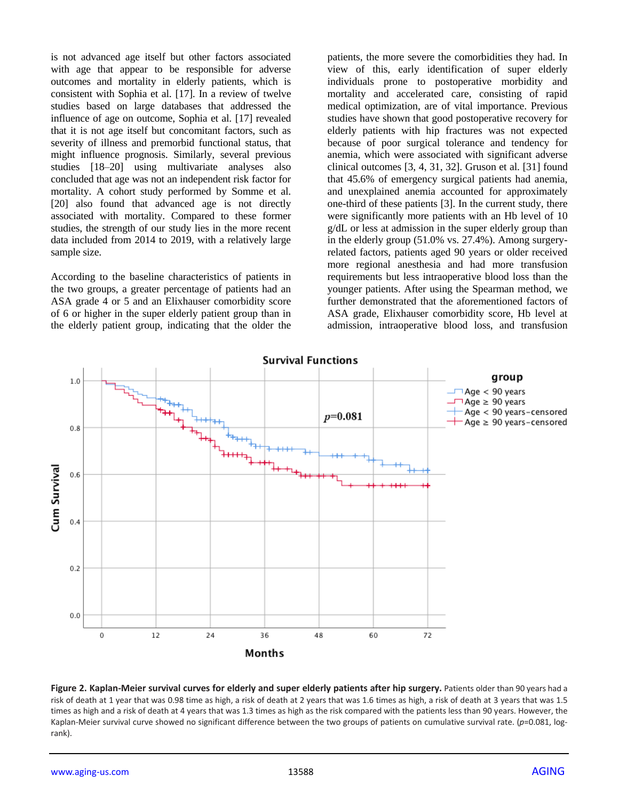is not advanced age itself but other factors associated with age that appear to be responsible for adverse outcomes and mortality in elderly patients, which is consistent with Sophia et al. [17]. In a review of twelve studies based on large databases that addressed the influence of age on outcome, Sophia et al. [17] revealed that it is not age itself but concomitant factors, such as severity of illness and premorbid functional status, that might influence prognosis. Similarly, several previous studies [18–20] using multivariate analyses also concluded that age was not an independent risk factor for mortality. A cohort study performed by Somme et al. [20] also found that advanced age is not directly associated with mortality. Compared to these former studies, the strength of our study lies in the more recent data included from 2014 to 2019, with a relatively large sample size.

According to the baseline characteristics of patients in the two groups, a greater percentage of patients had an ASA grade 4 or 5 and an Elixhauser comorbidity score of 6 or higher in the super elderly patient group than in the elderly patient group, indicating that the older the patients, the more severe the comorbidities they had. In view of this, early identification of super elderly individuals prone to postoperative morbidity and mortality and accelerated care, consisting of rapid medical optimization, are of vital importance. Previous studies have shown that good postoperative recovery for elderly patients with hip fractures was not expected because of poor surgical tolerance and tendency for anemia, which were associated with significant adverse clinical outcomes [3, 4, 31, 32]. Gruson et al. [31] found that 45.6% of emergency surgical patients had anemia, and unexplained anemia accounted for approximately one-third of these patients [3]. In the current study, there were significantly more patients with an Hb level of 10 g/dL or less at admission in the super elderly group than in the elderly group (51.0% vs. 27.4%). Among surgeryrelated factors, patients aged 90 years or older received more regional anesthesia and had more transfusion requirements but less intraoperative blood loss than the younger patients. After using the Spearman method, we further demonstrated that the aforementioned factors of ASA grade, Elixhauser comorbidity score, Hb level at admission, intraoperative blood loss, and transfusion



#### **Figure 2. Kaplan-Meier survival curves for elderly and super elderly patients after hip surgery.** Patients older than 90 years had a risk of death at 1 year that was 0.98 time as high, a risk of death at 2 years that was 1.6 times as high, a risk of death at 3 years that was 1.5 times as high and a risk of death at 4 years that was 1.3 times as high as the risk compared with the patients less than 90 years. However, the Kaplan-Meier survival curve showed no significant difference between the two groups of patients on cumulative survival rate. (*p*=0.081, logrank).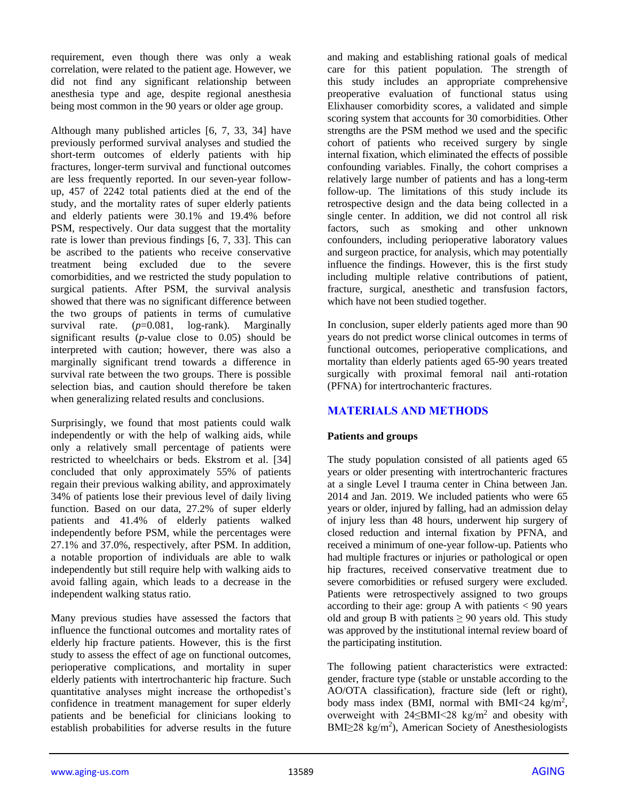requirement, even though there was only a weak correlation, were related to the patient age. However, we did not find any significant relationship between anesthesia type and age, despite regional anesthesia being most common in the 90 years or older age group.

Although many published articles [6, 7, 33, 34] have previously performed survival analyses and studied the short-term outcomes of elderly patients with hip fractures, longer-term survival and functional outcomes are less frequently reported. In our seven-year followup, 457 of 2242 total patients died at the end of the study, and the mortality rates of super elderly patients and elderly patients were 30.1% and 19.4% before PSM, respectively. Our data suggest that the mortality rate is lower than previous findings [6, 7, 33]. This can be ascribed to the patients who receive conservative treatment being excluded due to the severe comorbidities, and we restricted the study population to surgical patients. After PSM, the survival analysis showed that there was no significant difference between the two groups of patients in terms of cumulative survival rate. (*p*=0.081, log-rank). Marginally significant results (*p*-value close to 0.05) should be interpreted with caution; however, there was also a marginally significant trend towards a difference in survival rate between the two groups. There is possible selection bias, and caution should therefore be taken when generalizing related results and conclusions.

Surprisingly, we found that most patients could walk independently or with the help of walking aids, while only a relatively small percentage of patients were restricted to wheelchairs or beds. Ekstrom et al. [34] concluded that only approximately 55% of patients regain their previous walking ability, and approximately 34% of patients lose their previous level of daily living function. Based on our data, 27.2% of super elderly patients and 41.4% of elderly patients walked independently before PSM, while the percentages were 27.1% and 37.0%, respectively, after PSM. In addition, a notable proportion of individuals are able to walk independently but still require help with walking aids to avoid falling again, which leads to a decrease in the independent walking status ratio.

Many previous studies have assessed the factors that influence the functional outcomes and mortality rates of elderly hip fracture patients. However, this is the first study to assess the effect of age on functional outcomes, perioperative complications, and mortality in super elderly patients with intertrochanteric hip fracture. Such quantitative analyses might increase the orthopedist's confidence in treatment management for super elderly patients and be beneficial for clinicians looking to establish probabilities for adverse results in the future

and making and establishing rational goals of medical care for this patient population. The strength of this study includes an appropriate comprehensive preoperative evaluation of functional status using Elixhauser comorbidity scores, a validated and simple scoring system that accounts for 30 comorbidities. Other strengths are the PSM method we used and the specific cohort of patients who received surgery by single internal fixation, which eliminated the effects of possible confounding variables. Finally, the cohort comprises a relatively large number of patients and has a long-term follow-up. The limitations of this study include its retrospective design and the data being collected in a single center. In addition, we did not control all risk factors, such as smoking and other unknown confounders, including perioperative laboratory values and surgeon practice, for analysis, which may potentially influence the findings. However, this is the first study including multiple relative contributions of patient, fracture, surgical, anesthetic and transfusion factors, which have not been studied together.

In conclusion, super elderly patients aged more than 90 years do not predict worse clinical outcomes in terms of functional outcomes, perioperative complications, and mortality than elderly patients aged 65-90 years treated surgically with proximal femoral nail anti-rotation (PFNA) for intertrochanteric fractures.

# **MATERIALS AND METHODS**

## **Patients and groups**

The study population consisted of all patients aged 65 years or older presenting with intertrochanteric fractures at a single Level I trauma center in China between Jan. 2014 and Jan. 2019. We included patients who were 65 years or older, injured by falling, had an admission delay of injury less than 48 hours, underwent hip surgery of closed reduction and internal fixation by PFNA, and received a minimum of one-year follow-up. Patients who had multiple fractures or injuries or pathological or open hip fractures, received conservative treatment due to severe comorbidities or refused surgery were excluded. Patients were retrospectively assigned to two groups according to their age: group A with patients  $< 90$  years old and group B with patients  $\geq 90$  years old. This study was approved by the institutional internal review board of the participating institution.

The following patient characteristics were extracted: gender, fracture type (stable or unstable according to the AO/OTA classification), fracture side (left or right), body mass index (BMI, normal with BMI<24 kg/m<sup>2</sup>, overweight with  $24 \leq BMI \leq 28$  kg/m<sup>2</sup> and obesity with  $BMI \geq 28$  kg/m<sup>2</sup>), American Society of Anesthesiologists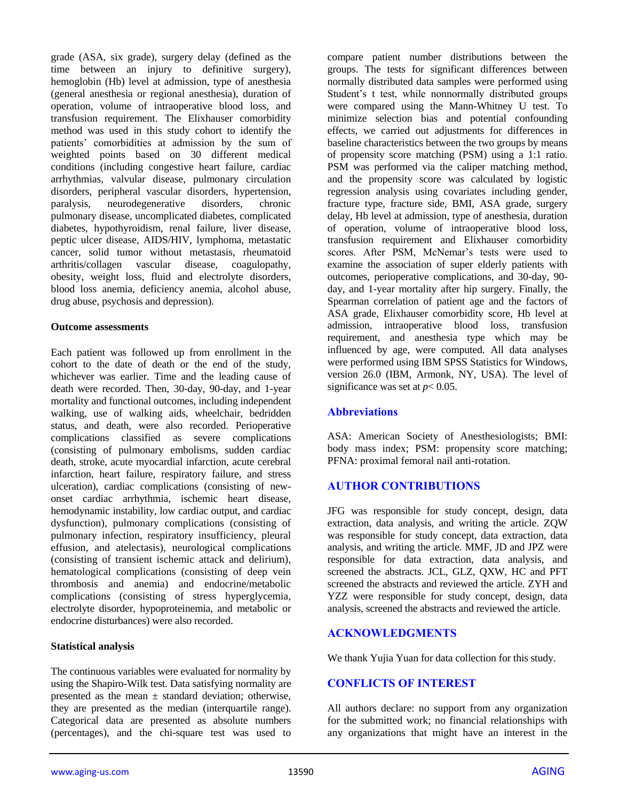grade (ASA, six grade), surgery delay (defined as the time between an injury to definitive surgery), hemoglobin (Hb) level at admission, type of anesthesia (general anesthesia or regional anesthesia), duration of operation, volume of intraoperative blood loss, and transfusion requirement. The Elixhauser comorbidity method was used in this study cohort to identify the patients' comorbidities at admission by the sum of weighted points based on 30 different medical conditions (including congestive heart failure, cardiac arrhythmias, valvular disease, pulmonary circulation disorders, peripheral vascular disorders, hypertension, paralysis, neurodegenerative disorders, chronic pulmonary disease, uncomplicated diabetes, complicated diabetes, hypothyroidism, renal failure, liver disease, peptic ulcer disease, AIDS/HIV, lymphoma, metastatic cancer, solid tumor without metastasis, rheumatoid arthritis/collagen vascular disease, coagulopathy, obesity, weight loss, fluid and electrolyte disorders, blood loss anemia, deficiency anemia, alcohol abuse, drug abuse, psychosis and depression).

#### **Outcome assessments**

Each patient was followed up from enrollment in the cohort to the date of death or the end of the study, whichever was earlier. Time and the leading cause of death were recorded. Then, 30-day, 90-day, and 1-year mortality and functional outcomes, including independent walking, use of walking aids, wheelchair, bedridden status, and death, were also recorded. Perioperative complications classified as severe complications (consisting of pulmonary embolisms, sudden cardiac death, stroke, acute myocardial infarction, acute cerebral infarction, heart failure, respiratory failure, and stress ulceration), cardiac complications (consisting of newonset cardiac arrhythmia, ischemic heart disease, hemodynamic instability, low cardiac output, and cardiac dysfunction), pulmonary complications (consisting of pulmonary infection, respiratory insufficiency, pleural effusion, and atelectasis), neurological complications (consisting of transient ischemic attack and delirium), hematological complications (consisting of deep vein thrombosis and anemia) and endocrine/metabolic complications (consisting of stress hyperglycemia, electrolyte disorder, hypoproteinemia, and metabolic or endocrine disturbances) were also recorded.

#### **Statistical analysis**

The continuous variables were evaluated for normality by using the Shapiro-Wilk test. Data satisfying normality are presented as the mean  $\pm$  standard deviation; otherwise, they are presented as the median (interquartile range). Categorical data are presented as absolute numbers (percentages), and the chi-square test was used to compare patient number distributions between the groups. The tests for significant differences between normally distributed data samples were performed using Student's t test, while nonnormally distributed groups were compared using the Mann-Whitney U test. To minimize selection bias and potential confounding effects, we carried out adjustments for differences in baseline characteristics between the two groups by means of propensity score matching (PSM) using a 1:1 ratio. PSM was performed via the caliper matching method, and the propensity score was calculated by logistic regression analysis using covariates including gender, fracture type, fracture side, BMI, ASA grade, surgery delay, Hb level at admission, type of anesthesia, duration of operation, volume of intraoperative blood loss, transfusion requirement and Elixhauser comorbidity scores. After PSM, McNemar's tests were used to examine the association of super elderly patients with outcomes, perioperative complications, and 30-day, 90 day, and 1-year mortality after hip surgery. Finally, the Spearman correlation of patient age and the factors of ASA grade, Elixhauser comorbidity score, Hb level at admission, intraoperative blood loss, transfusion requirement, and anesthesia type which may be influenced by age, were computed. All data analyses were performed using IBM SPSS Statistics for Windows, version 26.0 (IBM, Armonk, NY, USA). The level of significance was set at  $p < 0.05$ .

## **Abbreviations**

ASA: American Society of Anesthesiologists; BMI: body mass index; PSM: propensity score matching; PFNA: proximal femoral nail anti-rotation.

## **AUTHOR CONTRIBUTIONS**

JFG was responsible for study concept, design, data extraction, data analysis, and writing the article. ZQW was responsible for study concept, data extraction, data analysis, and writing the article. MMF, JD and JPZ were responsible for data extraction, data analysis, and screened the abstracts. JCL, GLZ, QXW, HC and PFT screened the abstracts and reviewed the article. ZYH and YZZ were responsible for study concept, design, data analysis, screened the abstracts and reviewed the article.

## **ACKNOWLEDGMENTS**

We thank Yujia Yuan for data collection for this study.

## **CONFLICTS OF INTEREST**

All authors declare: no support from any organization for the submitted work; no financial relationships with any organizations that might have an interest in the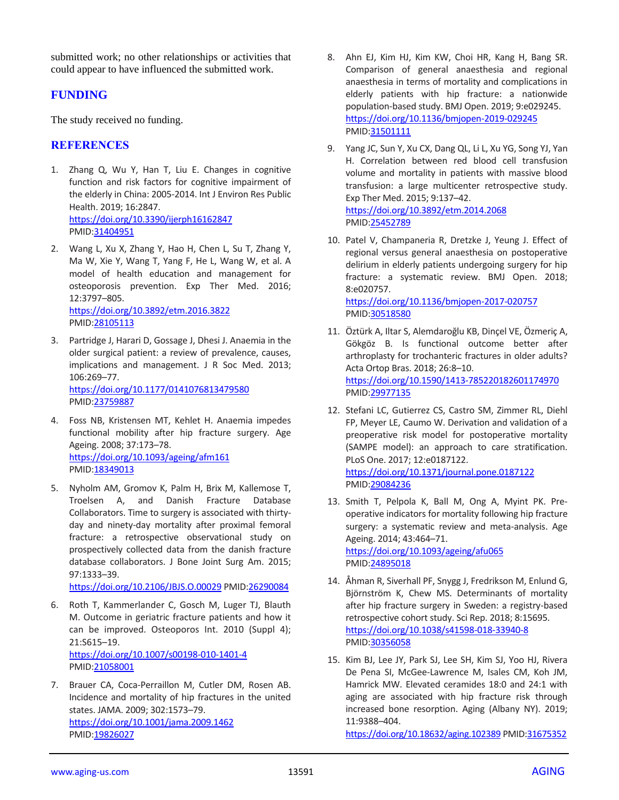submitted work; no other relationships or activities that could appear to have influenced the submitted work.

# **FUNDING**

The study received no funding.

# **REFERENCES**

- 1. Zhang Q, Wu Y, Han T, Liu E. Changes in cognitive function and risk factors for cognitive impairment of the elderly in China: 2005-2014. Int J Environ Res Public Health. 2019; 16:2847. <https://doi.org/10.3390/ijerph16162847> PMID[:31404951](https://pubmed.ncbi.nlm.nih.gov/31404951)
- 2. Wang L, Xu X, Zhang Y, Hao H, Chen L, Su T, Zhang Y, Ma W, Xie Y, Wang T, Yang F, He L, Wang W, et al. A model of health education and management for osteoporosis prevention. Exp Ther Med. 2016; 12:3797–805. <https://doi.org/10.3892/etm.2016.3822> PMID[:28105113](https://pubmed.ncbi.nlm.nih.gov/28105113)
- 3. Partridge J, Harari D, Gossage J, Dhesi J. Anaemia in the older surgical patient: a review of prevalence, causes, implications and management. J R Soc Med. 2013; 106:269–77. <https://doi.org/10.1177/0141076813479580>

PMID[:23759887](https://pubmed.ncbi.nlm.nih.gov/23759887)

- 4. Foss NB, Kristensen MT, Kehlet H. Anaemia impedes functional mobility after hip fracture surgery. Age Ageing. 2008; 37:173–78. <https://doi.org/10.1093/ageing/afm161> PMID[:18349013](https://pubmed.ncbi.nlm.nih.gov/18349013)
- 5. Nyholm AM, Gromov K, Palm H, Brix M, Kallemose T, Troelsen A, and Danish Fracture Database Collaborators. Time to surgery is associated with thirtyday and ninety-day mortality after proximal femoral fracture: a retrospective observational study on prospectively collected data from the danish fracture database collaborators. J Bone Joint Surg Am. 2015; 97:1333–39.

<https://doi.org/10.2106/JBJS.O.00029> PMID[:26290084](https://pubmed.ncbi.nlm.nih.gov/26290084)

- 6. Roth T, Kammerlander C, Gosch M, Luger TJ, Blauth M. Outcome in geriatric fracture patients and how it can be improved. Osteoporos Int. 2010 (Suppl 4); 21:S615–19. <https://doi.org/10.1007/s00198-010-1401-4> PMID[:21058001](https://pubmed.ncbi.nlm.nih.gov/21058001)
- 7. Brauer CA, Coca-Perraillon M, Cutler DM, Rosen AB. Incidence and mortality of hip fractures in the united states. JAMA. 2009; 302:1573–79. <https://doi.org/10.1001/jama.2009.1462> PMID[:19826027](https://pubmed.ncbi.nlm.nih.gov/19826027)
- 8. Ahn EJ, Kim HJ, Kim KW, Choi HR, Kang H, Bang SR. Comparison of general anaesthesia and regional anaesthesia in terms of mortality and complications in elderly patients with hip fracture: a nationwide population-based study. BMJ Open. 2019; 9:e029245. <https://doi.org/10.1136/bmjopen-2019-029245> PMI[D:31501111](https://pubmed.ncbi.nlm.nih.gov/31501111)
- 9. Yang JC, Sun Y, Xu CX, Dang QL, Li L, Xu YG, Song YJ, Yan H. Correlation between red blood cell transfusion volume and mortality in patients with massive blood transfusion: a large multicenter retrospective study. Exp Ther Med. 2015; 9:137–42. <https://doi.org/10.3892/etm.2014.2068> PMI[D:25452789](https://pubmed.ncbi.nlm.nih.gov/25452789)
- 10. Patel V, Champaneria R, Dretzke J, Yeung J. Effect of regional versus general anaesthesia on postoperative delirium in elderly patients undergoing surgery for hip fracture: a systematic review. BMJ Open. 2018; 8:e020757. <https://doi.org/10.1136/bmjopen-2017-020757> PMI[D:30518580](https://pubmed.ncbi.nlm.nih.gov/30518580)
- 11. Öztürk A, Iltar S, Alemdaroğlu KB, Dinçel VE, Özmeriç A, Gökgöz B. Is functional outcome better after arthroplasty for trochanteric fractures in older adults? Acta Ortop Bras. 2018; 26:8–10. <https://doi.org/10.1590/1413-785220182601174970> PMI[D:29977135](https://pubmed.ncbi.nlm.nih.gov/29977135)
- 12. Stefani LC, Gutierrez CS, Castro SM, Zimmer RL, Diehl FP, Meyer LE, Caumo W. Derivation and validation of a preoperative risk model for postoperative mortality (SAMPE model): an approach to care stratification. PLoS One. 2017; 12:e0187122. <https://doi.org/10.1371/journal.pone.0187122> PMI[D:29084236](https://pubmed.ncbi.nlm.nih.gov/29084236)
- 13. Smith T, Pelpola K, Ball M, Ong A, Myint PK. Preoperative indicators for mortality following hip fracture surgery: a systematic review and meta-analysis. Age Ageing. 2014; 43:464–71. <https://doi.org/10.1093/ageing/afu065>

PMI[D:24895018](https://pubmed.ncbi.nlm.nih.gov/24895018)

- 14. Åhman R, Siverhall PF, Snygg J, Fredrikson M, Enlund G, Björnström K, Chew MS. Determinants of mortality after hip fracture surgery in Sweden: a registry-based retrospective cohort study. Sci Rep. 2018; 8:15695. <https://doi.org/10.1038/s41598-018-33940-8> PMI[D:30356058](https://pubmed.ncbi.nlm.nih.gov/30356058)
- 15. Kim BJ, Lee JY, Park SJ, Lee SH, Kim SJ, Yoo HJ, Rivera De Pena SI, McGee-Lawrence M, Isales CM, Koh JM, Hamrick MW. Elevated ceramides 18:0 and 24:1 with aging are associated with hip fracture risk through increased bone resorption. Aging (Albany NY). 2019; 11:9388–404.

<https://doi.org/10.18632/aging.102389> PMI[D:31675352](https://pubmed.ncbi.nlm.nih.gov/31675352)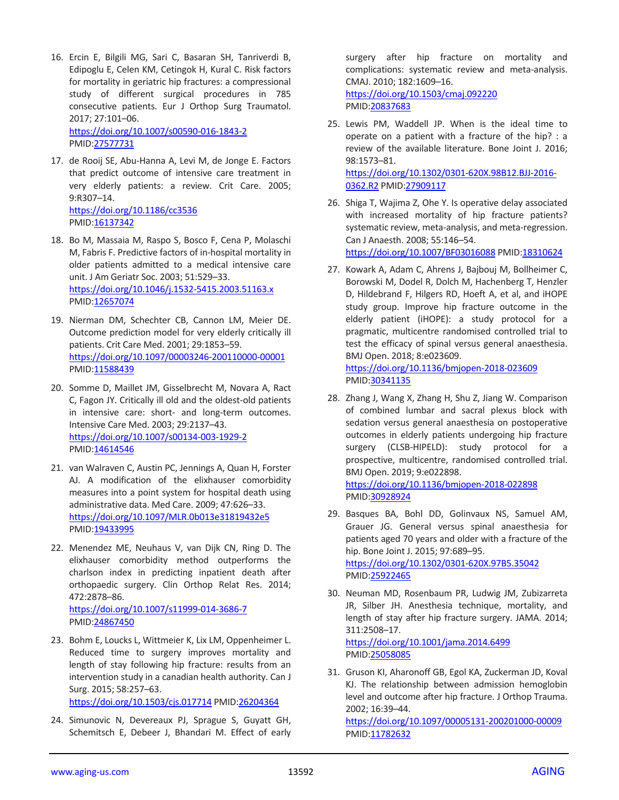16. Ercin E, Bilgili MG, Sari C, Basaran SH, Tanriverdi B, Edipoglu E, Celen KM, Cetingok H, Kural C. Risk factors for mortality in geriatric hip fractures: a compressional study of different surgical procedures in 785 consecutive patients. Eur J Orthop Surg Traumatol. 2017; 27:101–06.

<https://doi.org/10.1007/s00590-016-1843-2> PMID[:27577731](https://pubmed.ncbi.nlm.nih.gov/27577731)

- 17. de Rooij SE, Abu-Hanna A, Levi M, de Jonge E. Factors that predict outcome of intensive care treatment in very elderly patients: a review. Crit Care. 2005; 9:R307–14. <https://doi.org/10.1186/cc3536> PMID[:16137342](https://pubmed.ncbi.nlm.nih.gov/16137342)
- 18. Bo M, Massaia M, Raspo S, Bosco F, Cena P, Molaschi M, Fabris F. Predictive factors of in-hospital mortality in older patients admitted to a medical intensive care unit. J Am Geriatr Soc. 2003; 51:529–33. <https://doi.org/10.1046/j.1532-5415.2003.51163.x> PMID[:12657074](https://pubmed.ncbi.nlm.nih.gov/12657074)
- 19. Nierman DM, Schechter CB, Cannon LM, Meier DE. Outcome prediction model for very elderly critically ill patients. Crit Care Med. 2001; 29:1853–59. <https://doi.org/10.1097/00003246-200110000-00001> PMID[:11588439](https://pubmed.ncbi.nlm.nih.gov/11588439)
- 20. Somme D, Maillet JM, Gisselbrecht M, Novara A, Ract C, Fagon JY. Critically ill old and the oldest-old patients in intensive care: short- and long-term outcomes. Intensive Care Med. 2003; 29:2137–43. <https://doi.org/10.1007/s00134-003-1929-2> PMID[:14614546](https://pubmed.ncbi.nlm.nih.gov/14614546)
- 21. van Walraven C, Austin PC, Jennings A, Quan H, Forster AJ. A modification of the elixhauser comorbidity measures into a point system for hospital death using administrative data. Med Care. 2009; 47:626–33. <https://doi.org/10.1097/MLR.0b013e31819432e5> PMID[:19433995](https://pubmed.ncbi.nlm.nih.gov/19433995)
- 22. Menendez ME, Neuhaus V, van Dijk CN, Ring D. The elixhauser comorbidity method outperforms the charlson index in predicting inpatient death after orthopaedic surgery. Clin Orthop Relat Res. 2014; 472:2878–86.

<https://doi.org/10.1007/s11999-014-3686-7> PMID[:24867450](https://pubmed.ncbi.nlm.nih.gov/24867450)

- 23. Bohm E, Loucks L, Wittmeier K, Lix LM, Oppenheimer L. Reduced time to surgery improves mortality and length of stay following hip fracture: results from an intervention study in a canadian health authority. Can J Surg. 2015; 58:257–63. <https://doi.org/10.1503/cjs.017714> PMID[:26204364](https://pubmed.ncbi.nlm.nih.gov/26204364)
- 24. Simunovic N, Devereaux PJ, Sprague S, Guyatt GH, Schemitsch E, Debeer J, Bhandari M. Effect of early

surgery after hip fracture on mortality and complications: systematic review and meta-analysis. CMAJ. 2010; 182:1609–16. <https://doi.org/10.1503/cmaj.092220> PMI[D:20837683](https://pubmed.ncbi.nlm.nih.gov/20837683)

25. Lewis PM, Waddell JP. When is the ideal time to operate on a patient with a fracture of the hip? : a review of the available literature. Bone Joint J. 2016; 98:1573–81.

[https://doi.org/10.1302/0301-620X.98B12.BJJ-2016-](https://doi.org/10.1302/0301-620X.98B12.BJJ-2016-0362.R2) [0362.R2](https://doi.org/10.1302/0301-620X.98B12.BJJ-2016-0362.R2) PMID[:27909117](https://pubmed.ncbi.nlm.nih.gov/27909117)

- 26. Shiga T, Wajima Z, Ohe Y. Is operative delay associated with increased mortality of hip fracture patients? systematic review, meta-analysis, and meta-regression. Can J Anaesth. 2008; 55:146–54. <https://doi.org/10.1007/BF03016088> PMID[:18310624](https://pubmed.ncbi.nlm.nih.gov/18310624)
- 27. Kowark A, Adam C, Ahrens J, Bajbouj M, Bollheimer C, Borowski M, Dodel R, Dolch M, Hachenberg T, Henzler D, Hildebrand F, Hilgers RD, Hoeft A, et al, and iHOPE study group. Improve hip fracture outcome in the elderly patient (iHOPE): a study protocol for a pragmatic, multicentre randomised controlled trial to test the efficacy of spinal versus general anaesthesia. BMJ Open. 2018; 8:e023609.

<https://doi.org/10.1136/bmjopen-2018-023609> PMI[D:30341135](https://pubmed.ncbi.nlm.nih.gov/30341135)

28. Zhang J, Wang X, Zhang H, Shu Z, Jiang W. Comparison of combined lumbar and sacral plexus block with sedation versus general anaesthesia on postoperative outcomes in elderly patients undergoing hip fracture surgery (CLSB-HIPELD): study protocol for a prospective, multicentre, randomised controlled trial. BMJ Open. 2019; 9:e022898.

<https://doi.org/10.1136/bmjopen-2018-022898> PMI[D:30928924](https://pubmed.ncbi.nlm.nih.gov/30928924)

- 29. Basques BA, Bohl DD, Golinvaux NS, Samuel AM, Grauer JG. General versus spinal anaesthesia for patients aged 70 years and older with a fracture of the hip. Bone Joint J. 2015; 97:689–95. <https://doi.org/10.1302/0301-620X.97B5.35042> PMI[D:25922465](https://pubmed.ncbi.nlm.nih.gov/25922465)
- 30. Neuman MD, Rosenbaum PR, Ludwig JM, Zubizarreta JR, Silber JH. Anesthesia technique, mortality, and length of stay after hip fracture surgery. JAMA. 2014; 311:2508–17.

<https://doi.org/10.1001/jama.2014.6499> PMI[D:25058085](https://pubmed.ncbi.nlm.nih.gov/25058085)

31. Gruson KI, Aharonoff GB, Egol KA, Zuckerman JD, Koval KJ. The relationship between admission hemoglobin level and outcome after hip fracture. J Orthop Trauma. 2002; 16:39–44.

<https://doi.org/10.1097/00005131-200201000-00009> PMI[D:11782632](https://pubmed.ncbi.nlm.nih.gov/11782632)